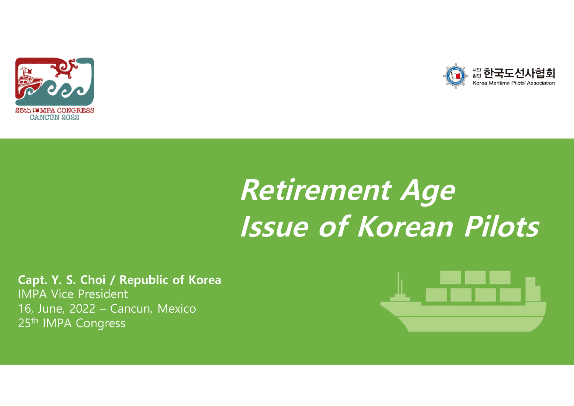



# **Retirement Age Issue of Korean Pilots**

**Capt. Y. S. Choi / Republic of Korea** IMPA Vice President 16, June, 2022 – Cancun, Mexico 25<sup>th</sup> IMPA Congress

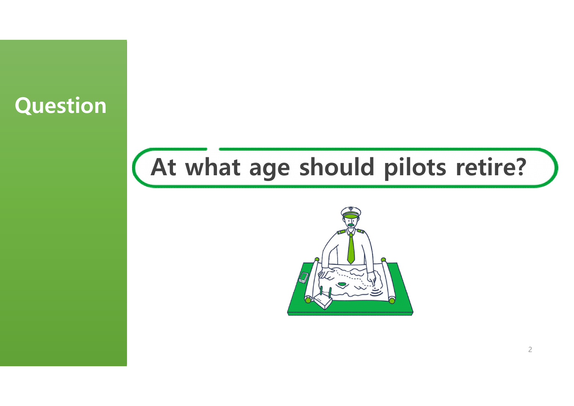# **Question**

# **At what age should pilots retire?**

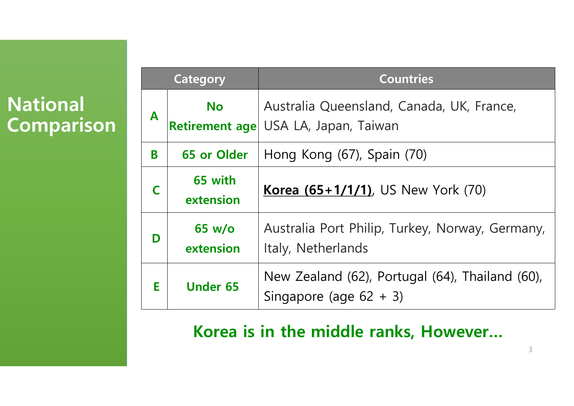### **National Comparison**

| Category |                                                                                              | <b>Countries</b>                                                                  |  |  |
|----------|----------------------------------------------------------------------------------------------|-----------------------------------------------------------------------------------|--|--|
| A        | <b>No</b>                                                                                    | Australia Queensland, Canada, UK, France,<br>Retirement age USA LA, Japan, Taiwan |  |  |
| B        | 65 or Older                                                                                  | Hong Kong (67), Spain (70)                                                        |  |  |
|          | 65 with<br>extension                                                                         | <b>Korea (65+1/1/1)</b> , US New York (70)                                        |  |  |
| D        | Australia Port Philip, Turkey, Norway, Germany,<br>65 w/o<br>Italy, Netherlands<br>extension |                                                                                   |  |  |
| E        | <b>Under 65</b>                                                                              | New Zealand (62), Portugal (64), Thailand (60),<br>Singapore (age $62 + 3$ )      |  |  |

#### **Korea is in the middle ranks, However…**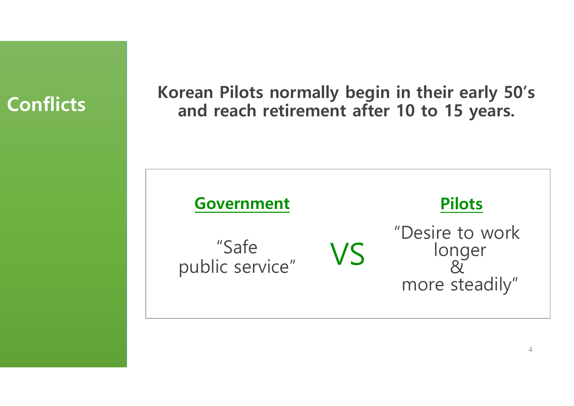

**Korean Pilots normally begin in their early 50's Con and reach retirement after <sup>10</sup> to <sup>15</sup> years.**

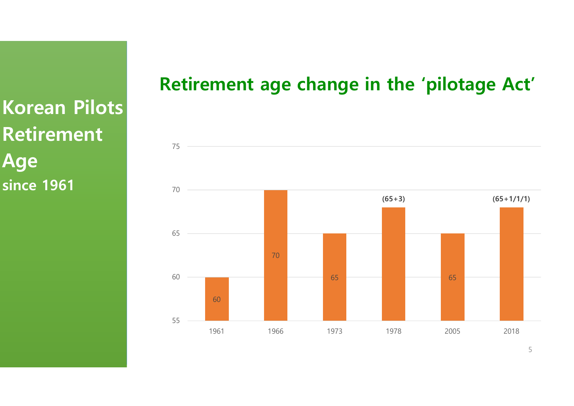**Korean Pilots Retirement Age since 1961**

#### **Retirement age change in the 'pilotage Act'**

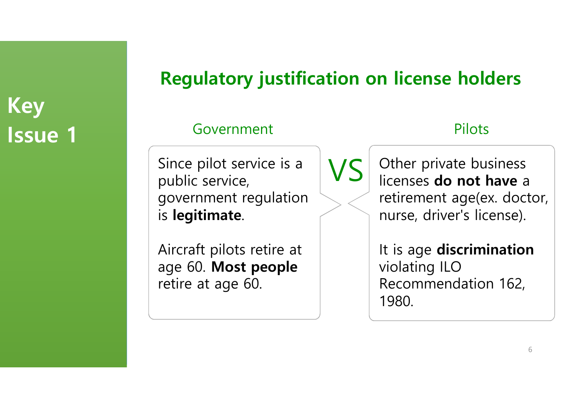# **Regulatory justification on license holders**

#### Government Pilots

Since pilot service is a public service, government regulation is **legitimate**.

Aircraft pilots retire at age 60. **Most people** retire at age 60.

VS

Other private business licenses **do not have** a retirement age(ex. doctor, nurse, driver's license).

It is age **discrimination** violating ILO Recommendation 162, 1980.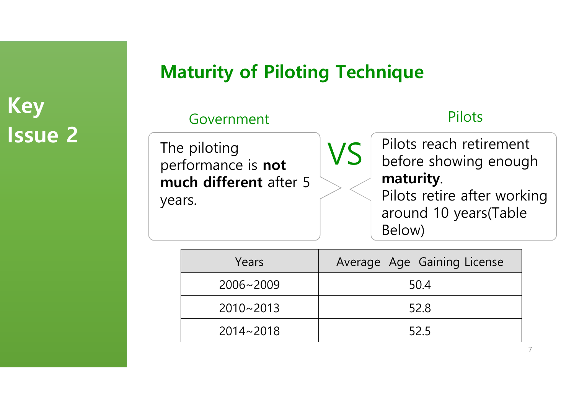### **Maturity of Piloting Technique**

#### Government Pilots

The piloting performance is **not much different** after 5 years.

Pilots reach retirement before showing enough **maturity**.

Pilots retire after working around 10 years(Table Below)

| Years         | Average Age Gaining License |
|---------------|-----------------------------|
| $2006 - 2009$ | 50.4                        |
| $2010 - 2013$ | 52.8                        |
| $2014 - 2018$ | 52.5                        |

VS

7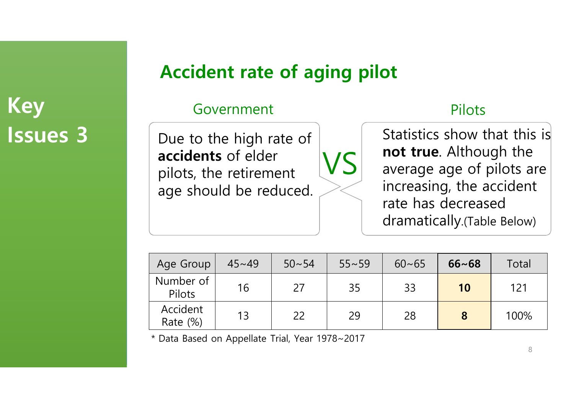# **Key** Government Pilots **Issues 3**

### **Accident rate of aging pilot**

Due to the high rate of **accidents** of elder pilots, the retirement age should be reduced.

Statistics show that this is **not true**. Although the average age of pilots are increasing, the accident rate has decreased dramatically.(Table Below)

| Age Group               | $45 - 49$ | $50 - 54$ | $55 - 59$ | $60 - 65$ | $66 - 68$ | Total |
|-------------------------|-----------|-----------|-----------|-----------|-----------|-------|
| Number of<br>Pilots     | 16        | 27        | 35        | 33        | 10        | 121   |
| Accident<br>Rate $(\%)$ | 13        | 22        | 29        | 28        | 8         | 100%  |

VS

\* Data Based on Appellate Trial, Year 1978~2017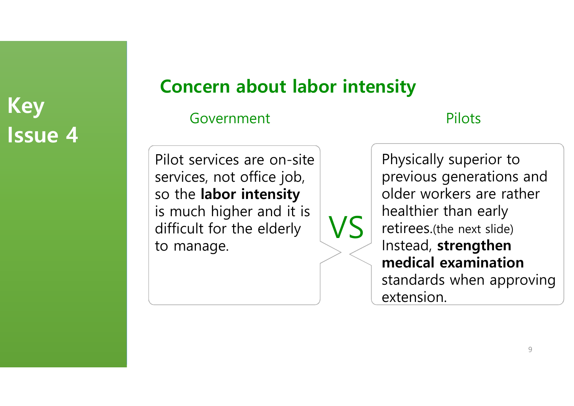### **Concern about labor intensity**

VS

Government Pilots

Pilot services are on-site services, not office job, so the **labor intensity** is much higher and it is difficult for the elderly to manage.

Physically superior to previous generations and older workers are rather healthier than early retirees.(the next slide) Instead, **strengthen medical examination** standards when approving extension.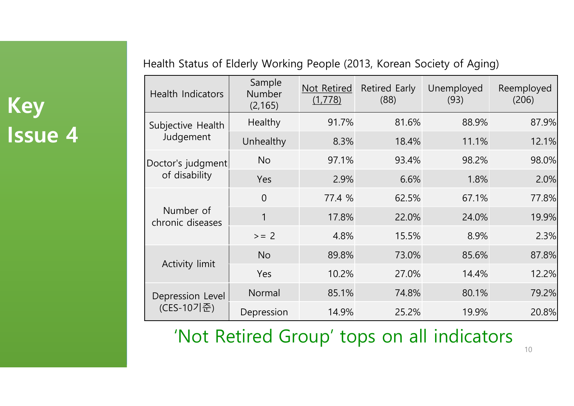| Health Status of Elderly Working People (2013, Korean Society of Aging) |  |  |
|-------------------------------------------------------------------------|--|--|
|-------------------------------------------------------------------------|--|--|

| <b>Health Indicators</b>      | Sample<br>Number<br>(2, 165) | Not Retired<br>(1,778) | Retired Early<br>(88) | Unemployed<br>(93) | Reemployed<br>(206) |
|-------------------------------|------------------------------|------------------------|-----------------------|--------------------|---------------------|
| Subjective Health             | Healthy                      | 91.7%                  | 81.6%                 | 88.9%              | 87.9%               |
| Judgement                     | Unhealthy                    | 8.3%                   | 18.4%                 | 11.1%              | 12.1%               |
| Doctor's judgment             | <b>No</b>                    | 97.1%                  | 93.4%                 | 98.2%              | 98.0%               |
| of disability                 | Yes                          | 2.9%                   | 6.6%                  | 1.8%               | 2.0%                |
|                               | $\overline{0}$               | 77.4 %                 | 62.5%                 | 67.1%              | 77.8%               |
| Number of<br>chronic diseases | 1                            | 17.8%                  | 22.0%                 | 24.0%              | 19.9%               |
|                               | $>= 2$                       | 4.8%                   | 15.5%                 | 8.9%               | 2.3%                |
|                               | <b>No</b>                    | 89.8%                  | 73.0%                 | 85.6%              | 87.8%               |
| Activity limit                | Yes                          | 10.2%                  | 27.0%                 | 14.4%              | 12.2%               |
| Depression Level              | Normal                       | 85.1%                  | 74.8%                 | 80.1%              | 79.2%               |
| (CES-10기준)                    | Depression                   | 14.9%                  | 25.2%                 | 19.9%              | 20.8%               |

'Not Retired Group' tops on all indicators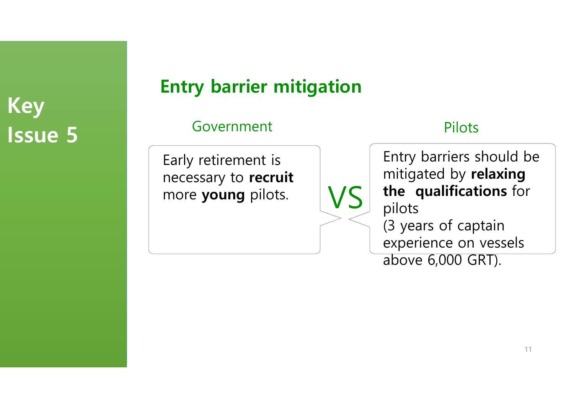## **Entry barrier mitigation**

VS

#### Government Pilots

Early retirement is necessary to **recruit** more **young** pilots.

Entry barriers should be mitigated by **relaxing the qualifications** for pilots (3 years of captain experience on vessels above 6,000 GRT).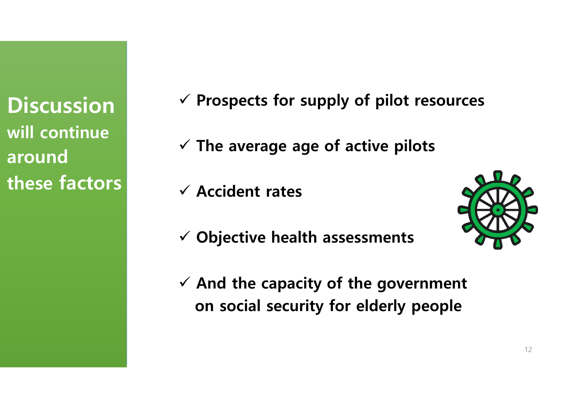**Discussion will continue around these factors**

ü **Prospects for supply of pilot resources**

 $\checkmark$  The average age of active pilots

ü **Accident rates**



- ü **Objective health assessments**
- ü **And the capacity of the government on social security for elderly people**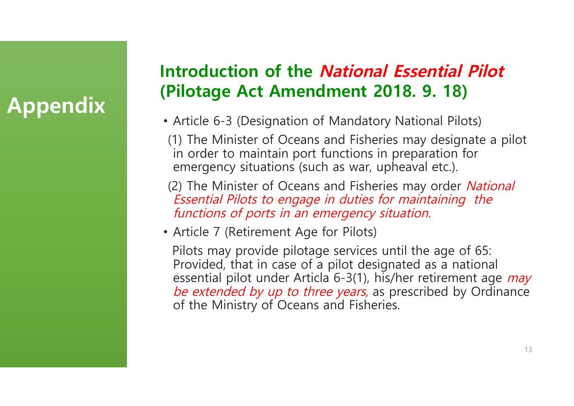# **Appendix**

#### **Introduction of the National Essential Pilot (Pilotage Act Amendment 2018. 9. 18)**

- Article 6-3 (Designation of Mandatory National Pilots)
- (1) The Minister of Oceans and Fisheries may designate a pilot in order to maintain port functions in preparation for emergency situations (such as war, upheaval etc.).
- (2) The Minister of Oceans and Fisheries may order National Essential Pilots to engage in duties for maintaining the functions of ports in an emergency situation.
- Article 7 (Retirement Age for Pilots)

Pilots may provide pilotage services until the age of 65: Provided, that in case of a pilot designated as a national essential pilot under Articla 6-3(1), his/her retirement age *may* be extended by up to three years, as prescribed by Ordinance of the Ministry of Oceans and Fisheries.